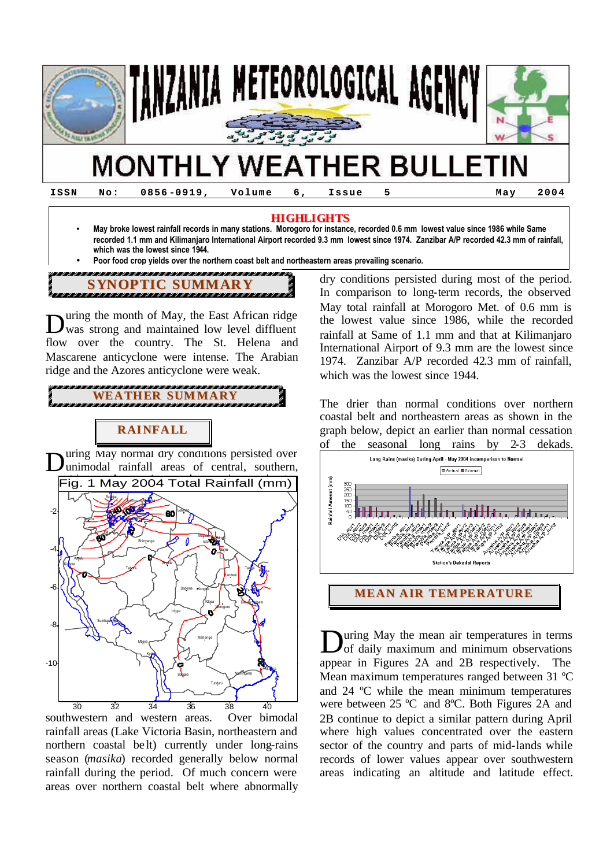

-10

**ISSN No: 0856 -0919, Volume 6, Issue 5 May 2004**

### **HIGHLIGHTS**

- **May broke lowest rainfall records in many stations. Morogoro for instance, recorded 0.6 mm lowest value since 1986 while Same recorded 1.1 mm and Kilimanjaro International Airport recorded 9.3 mm lowest since 1974. Zanzibar A/P recorded 42.3 mm of rainfall, which was the lowest since 1944.**
- **Poor food crop yields over the northern coast belt and northeastern areas prevailing scenario.**

ana.<br>Etimologia est en la construcció de la construcció de la construcció de la construcció de la construcció de la **SYNOPTIC SUMMARY**

uring the month of May, the East African ridge was strong and maintained low level diffluent flow over the country. The St. Helena and Mascarene anticyclone were intense. The Arabian ridge and the Azores anticyclone were weak. D

**RAINFALL WEATHER SUMMARY**

uring May normal dry conditions persisted over D unimodal rainfall areas of central, southern, Fig. 1 May 2004 Total Rainfall (mm) Buk<mark>o</mark>ba Musoma -2 60 Loliondo Ngara Mwanza Arusha Moshi Shinyanga Kiliman <mark>a</mark>r -4 Same Kasulu Kig**o**ma J / Singida Tabora Tan<mark>g</mark>a Pemba Handeni -6 Dodoma Kongwa Zan**ziba**r Kilosa Dar de Salaam **Morogoro** Iringa Sumbawanga -8 Mahenge Mbeya Kilwa Kyela

30 32 34 36 38 40 southwestern and western areas. Over bimodal rainfall areas (Lake Victoria Basin, northeastern and northern coastal be lt) currently under long-rains season (*masika*) recorded generally below normal rainfall during the period. Of much concern were areas over northern coastal belt where abnormally

So<mark>n</mark>gea

Nachingwea

Tunduru

Mtwara

Lindi

dry conditions persisted during most of the period. In comparison to long-term records, the observed May total rainfall at Morogoro Met. of 0.6 mm is the lowest value since 1986, while the recorded rainfall at Same of 1.1 mm and that at Kilimanjaro International Airport of 9.3 mm are the lowest since 1974. Zanzibar A/P recorded 42.3 mm of rainfall, which was the lowest since 1944.

The drier than normal conditions over northern coastal belt and northeastern areas as shown in the graph below, depict an earlier than normal cessation of the seasonal long rains by 2-3 dekads.



uring May the mean air temperatures in terms of daily maximum and minimum observations appear in Figures 2A and 2B respectively. The Mean maximum temperatures ranged between 31 ºC and 24 ºC while the mean minimum temperatures were between 25 ºC and 8ºC. Both Figures 2A and 2B continue to depict a similar pattern during April where high values concentrated over the eastern sector of the country and parts of mid-lands while records of lower values appear over southwestern areas indicating an altitude and latitude effect. D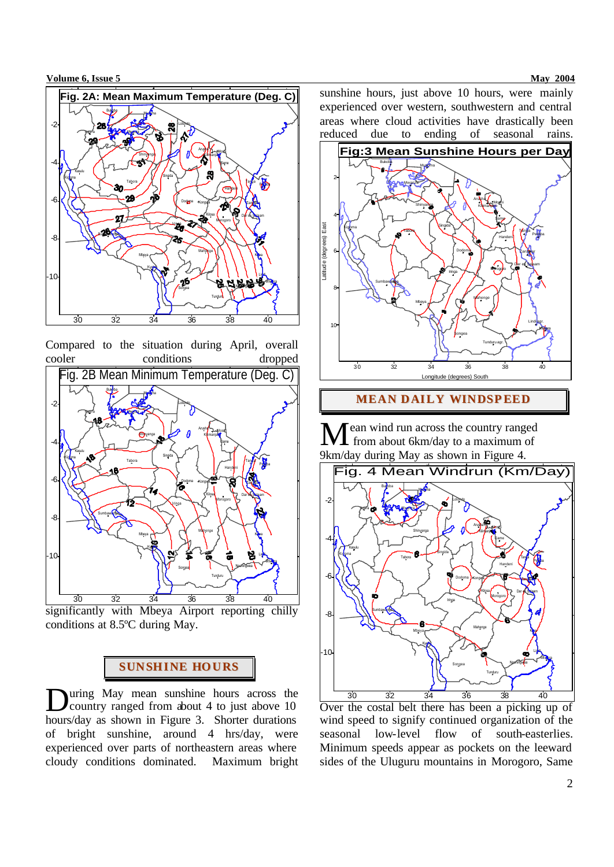

Compared to the situation during April, overall cooler conditions dropped



significantly with Mbeya Airport reporting chilly conditions at 8.5ºC during May.

## **SUNSHINE HOURS**

uring May mean sunshine hours across the **D**uring May mean sunshine hours across the country ranged from about 4 to just above 10 hours/day as shown in Figure 3. Shorter durations of bright sunshine, around 4 hrs/day, were experienced over parts of northeastern areas where cloudy conditions dominated. Maximum bright sunshine hours, just above 10 hours, were mainly experienced over western, southwestern and central areas where cloud activities have drastically been reduced due to ending of seasonal rains.



**MEAN DAILY WINDSPEED**

ean wind run across the country ranged Mean wind run across the country ranged<br>from about 6km/day to a maximum of 9km/day during May as shown in Figure 4.



Over the costal belt there has been a picking up of wind speed to signify continued organization of the seasonal low-level flow of south-easterlies. Minimum speeds appear as pockets on the leeward sides of the Uluguru mountains in Morogoro, Same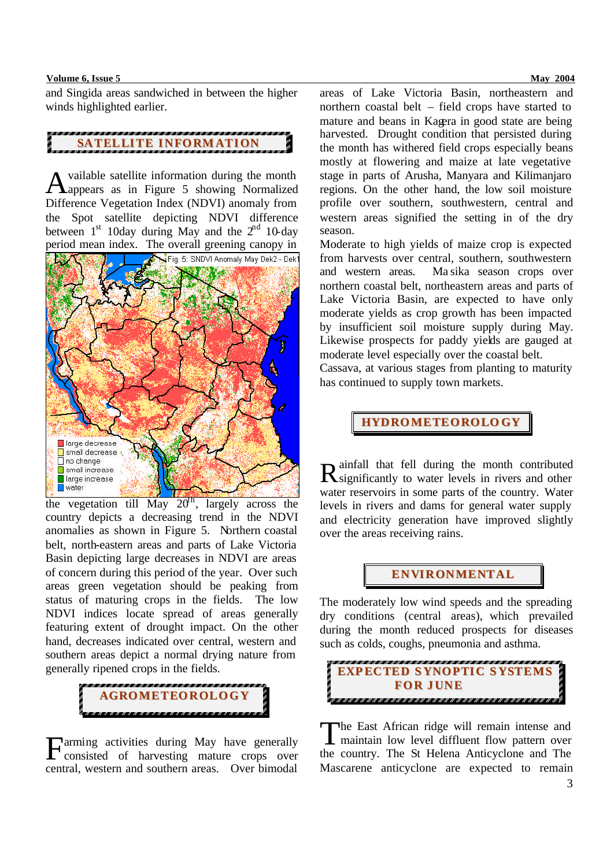#### **Volume 6, Issue 5 May 2004 May 2004**

and Singida areas sandwiched in between the higher winds highlighted earlier.

# **SATELLITE INFORMATION**

vailable satellite information during the month Available satellite information during the month<br>Aappears as in Figure 5 showing Normalized Difference Vegetation Index (NDVI) anomaly from the Spot satellite depicting NDVI difference between  $1<sup>st</sup>$  10day during May and the  $2<sup>nd</sup>$  10-day period mean index. The overall greening canopy in



the vegetation till May  $20<sup>th</sup>$ , largely across the country depicts a decreasing trend in the NDVI anomalies as shown in Figure 5. Northern coastal belt, north-eastern areas and parts of Lake Victoria Basin depicting large decreases in NDVI are areas of concern during this period of the year. Over such areas green vegetation should be peaking from status of maturing crops in the fields. The low NDVI indices locate spread of areas generally featuring extent of drought impact. On the other hand, decreases indicated over central, western and southern areas depict a normal drying nature from generally ripened crops in the fields.



arming activities during May have generally Farming activities during May have generally<br>consisted of harvesting mature crops over central, western and southern areas. Over bimodal areas of Lake Victoria Basin, northeastern and northern coastal belt – field crops have started to mature and beans in Kagera in good state are being harvested. Drought condition that persisted during the month has withered field crops especially beans mostly at flowering and maize at late vegetative stage in parts of Arusha, Manyara and Kilimanjaro regions. On the other hand, the low soil moisture profile over southern, southwestern, central and western areas signified the setting in of the dry season.

Moderate to high yields of maize crop is expected from harvests over central, southern, southwestern and western areas. Ma sika season crops over northern coastal belt, northeastern areas and parts of Lake Victoria Basin, are expected to have only moderate yields as crop growth has been impacted by insufficient soil moisture supply during May. Likewise prospects for paddy yields are gauged at moderate level especially over the coastal belt.

Cassava, at various stages from planting to maturity has continued to supply town markets.

**HYDROMETEOROLO GY**

ainfall that fell during the month contributed R ainfall that fell during the month contributed<br>R significantly to water levels in rivers and other water reservoirs in some parts of the country. Water levels in rivers and dams for general water supply and electricity generation have improved slightly over the areas receiving rains.

### **ENVIRONMENTAL**

The moderately low wind speeds and the spreading dry conditions (central areas), which prevailed during the month reduced prospects for diseases such as colds, coughs, pneumonia and asthma.



he East African ridge will remain intense and The East African ridge will remain intense and<br>maintain low level diffluent flow pattern over the country. The St Helena Anticyclone and The Mascarene anticyclone are expected to remain